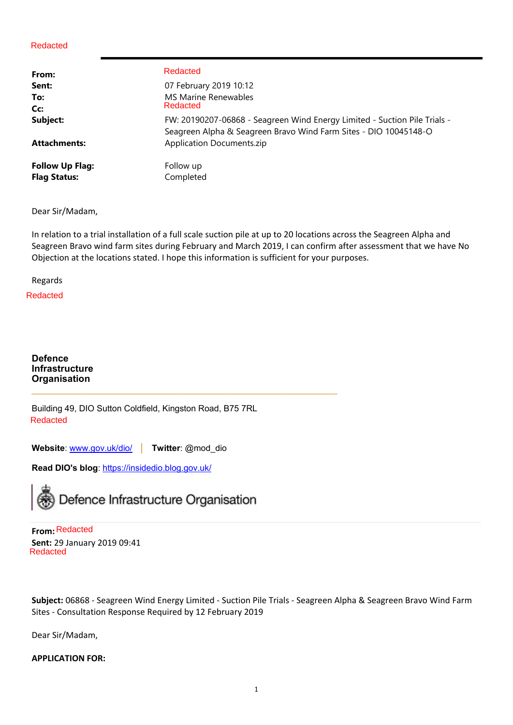| From:                  | Redacted                                                                  |
|------------------------|---------------------------------------------------------------------------|
| Sent:                  | 07 February 2019 10:12                                                    |
| To:                    | <b>MS Marine Renewables</b>                                               |
| Cc:                    | Redacted                                                                  |
| Subject:               | FW: 20190207-06868 - Seagreen Wind Energy Limited - Suction Pile Trials - |
|                        | Seagreen Alpha & Seagreen Bravo Wind Farm Sites - DIO 10045148-O          |
| <b>Attachments:</b>    | <b>Application Documents.zip</b>                                          |
| <b>Follow Up Flag:</b> | Follow up                                                                 |
| <b>Flag Status:</b>    | Completed                                                                 |

Dear Sir/Madam,

In relation to a trial installation of a full scale suction pile at up to 20 locations across the Seagreen Alpha and Seagreen Bravo wind farm sites during February and March 2019, I can confirm after assessment that we have No Objection at the locations stated. I hope this information is sufficient for your purposes.

Regards

Redacted

**Defence Infrastructure Organisation**

Building 49, DIO Sutton Coldfield, Kingston Road, B75 7RL Redacted

 $\mathcal{L}_\text{max} = \mathcal{L}_\text{max} = \mathcal{L}_\text{max} = \mathcal{L}_\text{max} = \mathcal{L}_\text{max} = \mathcal{L}_\text{max} = \mathcal{L}_\text{max} = \mathcal{L}_\text{max} = \mathcal{L}_\text{max} = \mathcal{L}_\text{max} = \mathcal{L}_\text{max} = \mathcal{L}_\text{max} = \mathcal{L}_\text{max} = \mathcal{L}_\text{max} = \mathcal{L}_\text{max} = \mathcal{L}_\text{max} = \mathcal{L}_\text{max} = \mathcal{L}_\text{max} = \mathcal{$ 

**Website**: www.gov.uk/dio/ **│ Twitter**: @mod\_dio

**Read DIO's blog**: https://insidedio.blog.gov.uk/



**From:** Redacted **Sent:** 29 January 2019 09:41 Redacted

**Subject:** 06868 ‐ Seagreen Wind Energy Limited ‐ Suction Pile Trials ‐ Seagreen Alpha & Seagreen Bravo Wind Farm Sites ‐ Consultation Response Required by 12 February 2019

Dear Sir/Madam,

#### **APPLICATION FOR:**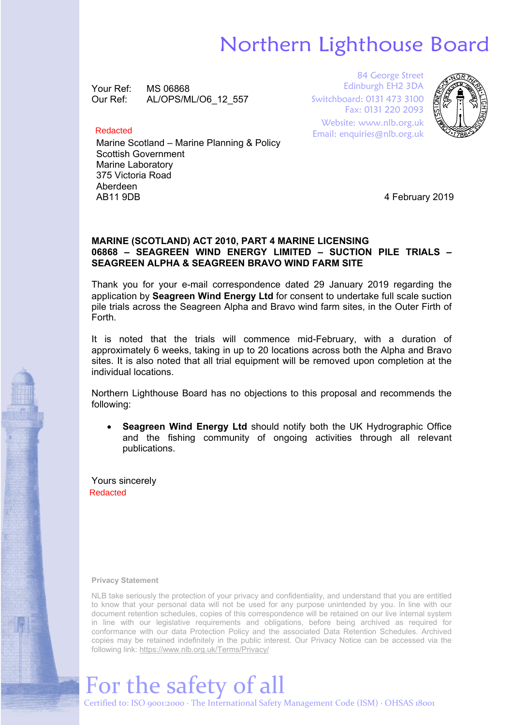## Northern Lighthouse Board

Your Ref: MS 06868 Our Ref: AL/OPS/ML/O6\_12\_557

#### Redacted

Marine Scotland – Marine Planning & Policy Scottish Government Marine Laboratory 375 Victoria Road Aberdeen AB11 9DB 4 February 2019

84 George Street Edinburgh EH2 3DA Switchboard: 0131 473 3100 Fax: 0131 220 2093 Website: www.nlb.org.uk Email: enquiries@nlb.org.uk



#### **MARINE (SCOTLAND) ACT 2010, PART 4 MARINE LICENSING 06868 – SEAGREEN WIND ENERGY LIMITED – SUCTION PILE TRIALS – SEAGREEN ALPHA & SEAGREEN BRAVO WIND FARM SITE**

Thank you for your e-mail correspondence dated 29 January 2019 regarding the application by **Seagreen Wind Energy Ltd** for consent to undertake full scale suction pile trials across the Seagreen Alpha and Bravo wind farm sites, in the Outer Firth of Forth.

It is noted that the trials will commence mid-February, with a duration of approximately 6 weeks, taking in up to 20 locations across both the Alpha and Bravo sites. It is also noted that all trial equipment will be removed upon completion at the individual locations.

Northern Lighthouse Board has no objections to this proposal and recommends the following:

 **Seagreen Wind Energy Ltd** should notify both the UK Hydrographic Office and the fishing community of ongoing activities through all relevant publications.

Yours sincerely Redacted

**Privacy Statement**

NLB take seriously the protection of your privacy and confidentiality, and understand that you are entitled to know that your personal data will not be used for any purpose unintended by you. In line with our document retention schedules, copies of this correspondence will be retained on our live internal system in line with our legislative requirements and obligations, before being archived as required for conformance with our data Protection Policy and the associated Data Retention Schedules. Archived copies may be retained indefinitely in the public interest. Our Privacy Notice can be accessed via the following link: https://www.nlb.org.uk/Terms/Privacy/

# For the safety of all

Certified to: ISO 9001:2000 ∙ The International Safety Management Code (ISM) ∙ OHSAS 18001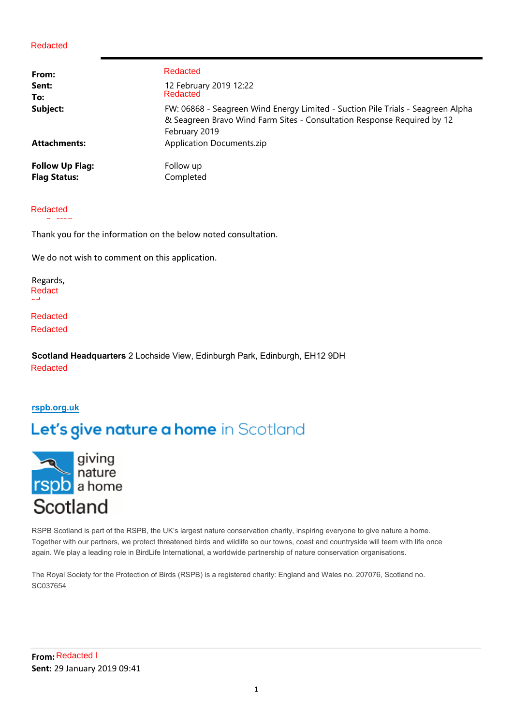| From:                  | Redacted                                                                                                                                                                    |
|------------------------|-----------------------------------------------------------------------------------------------------------------------------------------------------------------------------|
| Sent:                  | 12 February 2019 12:22                                                                                                                                                      |
| To:                    | Redacted                                                                                                                                                                    |
| Subject:               | FW: 06868 - Seagreen Wind Energy Limited - Suction Pile Trials - Seagreen Alpha<br>& Seagreen Bravo Wind Farm Sites - Consultation Response Required by 12<br>February 2019 |
| <b>Attachments:</b>    | <b>Application Documents.zip</b>                                                                                                                                            |
| <b>Follow Up Flag:</b> | Follow up                                                                                                                                                                   |
| <b>Flag Status:</b>    | Completed                                                                                                                                                                   |

#### Reda Redacte Redacted d

cted in

Thank you for the information on the below noted consultation.

We do not wish to comment on this application.

Regards, Redact ed

Redacted Redacted

**Scotland Headquarters** 2 Lochside View, Edinburgh Park, Edinburgh, EH12 9DH Redacted

#### **rspb.org.uk**

### Let's give nature a home in Scotland



RSPB Scotland is part of the RSPB, the UK's largest nature conservation charity, inspiring everyone to give nature a home. Together with our partners, we protect threatened birds and wildlife so our towns, coast and countryside will teem with life once again. We play a leading role in BirdLife International, a worldwide partnership of nature conservation organisations.

The Royal Society for the Protection of Birds (RSPB) is a registered charity: England and Wales no. 207076, Scotland no. SC037654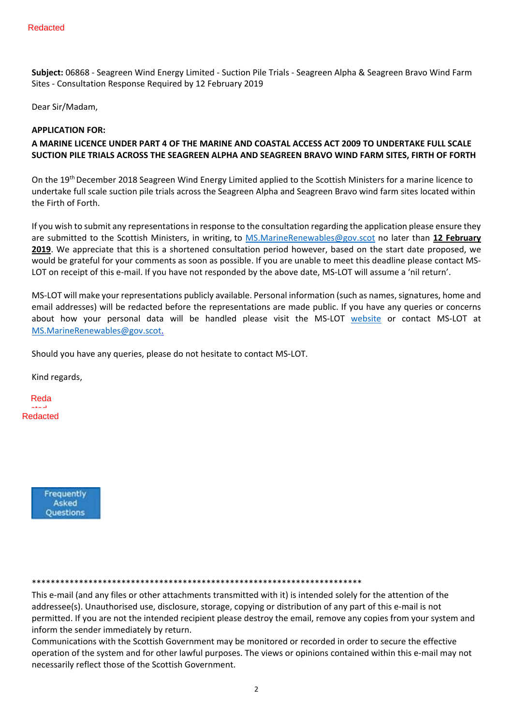**Subject:** 06868 ‐ Seagreen Wind Energy Limited ‐ Suction Pile Trials ‐ Seagreen Alpha & Seagreen Bravo Wind Farm Sites ‐ Consultation Response Required by 12 February 2019

Dear Sir/Madam,

#### **APPLICATION FOR:**

#### **A MARINE LICENCE UNDER PART 4 OF THE MARINE AND COASTAL ACCESS ACT 2009 TO UNDERTAKE FULL SCALE SUCTION PILE TRIALS ACROSS THE SEAGREEN ALPHA AND SEAGREEN BRAVO WIND FARM SITES, FIRTH OF FORTH**

On the 19<sup>th</sup> December 2018 Seagreen Wind Energy Limited applied to the Scottish Ministers for a marine licence to undertake full scale suction pile trials across the Seagreen Alpha and Seagreen Bravo wind farm sites located within the Firth of Forth.

If you wish to submit any representations in response to the consultation regarding the application please ensure they are submitted to the Scottish Ministers, in writing, to MS.MarineRenewables@gov.scot no later than **12 February 2019**. We appreciate that this is a shortened consultation period however, based on the start date proposed, we would be grateful for your comments as soon as possible. If you are unable to meet this deadline please contact MS‐ LOT on receipt of this e-mail. If you have not responded by the above date, MS-LOT will assume a 'nil return'.

MS‐LOT will make your representations publicly available. Personal information (such as names, signatures, home and email addresses) will be redacted before the representations are made public. If you have any queries or concerns about how your personal data will be handled please visit the MS-LOT website or contact MS-LOT at MS.MarineRenewables@gov.scot.

Should you have any queries, please do not hesitate to contact MS‐LOT.

Kind regards,

Reda cted Redacted



#### \*\*\*\*\*\*\*\*\*\*\*\*\*\*\*\*\*\*\*\*\*\*\*\*\*\*\*\*\*\*\*\*\*\*\*\*\*\*\*\*\*\*\*\*\*\*\*\*\*\*\*\*\*\*\*\*\*\*\*\*\*\*\*\*\*\*\*\*\*\*

This e-mail (and any files or other attachments transmitted with it) is intended solely for the attention of the addressee(s). Unauthorised use, disclosure, storage, copying or distribution of any part of this e-mail is not permitted. If you are not the intended recipient please destroy the email, remove any copies from your system and inform the sender immediately by return.

Communications with the Scottish Government may be monitored or recorded in order to secure the effective operation of the system and for other lawful purposes. The views or opinions contained within this e‐mail may not necessarily reflect those of the Scottish Government.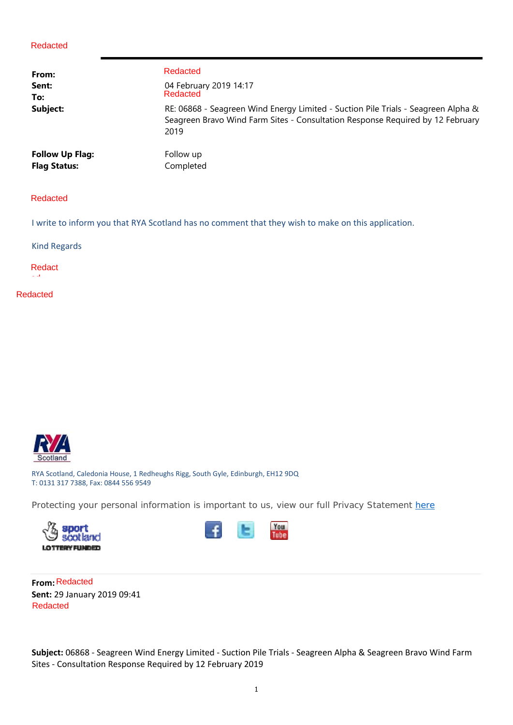| From:                  | Redacted                                                                                                                                                                    |
|------------------------|-----------------------------------------------------------------------------------------------------------------------------------------------------------------------------|
| Sent:                  | 04 February 2019 14:17                                                                                                                                                      |
| To:                    | Redacted                                                                                                                                                                    |
| Subject:               | RE: 06868 - Seagreen Wind Energy Limited - Suction Pile Trials - Seagreen Alpha &<br>Seagreen Bravo Wind Farm Sites - Consultation Response Required by 12 February<br>2019 |
| <b>Follow Up Flag:</b> | Follow up                                                                                                                                                                   |
| <b>Flag Status:</b>    | Completed                                                                                                                                                                   |

#### Redacted

I write to inform you that RYA Scotland has no comment that they wish to make on this application.

Kind Regards

Redact ed

Redacted



RYA Scotland, Caledonia House, 1 Redheughs Rigg, South Gyle, Edinburgh, EH12 9DQ T: 0131 317 7388, Fax: 0844 556 9549

Protecting your personal information is important to us, view our full Privacy Statement here





**From:** Redacted **Sent:** 29 January 2019 09:41 Redacted

**Subject:** 06868 ‐ Seagreen Wind Energy Limited ‐ Suction Pile Trials ‐ Seagreen Alpha & Seagreen Bravo Wind Farm Sites ‐ Consultation Response Required by 12 February 2019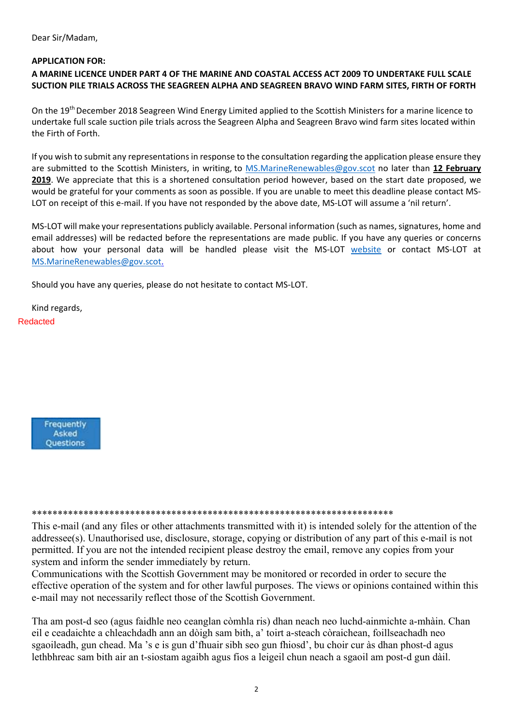Dear Sir/Madam,

#### **APPLICATION FOR:**

#### **A MARINE LICENCE UNDER PART 4 OF THE MARINE AND COASTAL ACCESS ACT 2009 TO UNDERTAKE FULL SCALE SUCTION PILE TRIALS ACROSS THE SEAGREEN ALPHA AND SEAGREEN BRAVO WIND FARM SITES, FIRTH OF FORTH**

On the 19<sup>th</sup> December 2018 Seagreen Wind Energy Limited applied to the Scottish Ministers for a marine licence to undertake full scale suction pile trials across the Seagreen Alpha and Seagreen Bravo wind farm sites located within the Firth of Forth.

If you wish to submit any representations in response to the consultation regarding the application please ensure they are submitted to the Scottish Ministers, in writing, to MS.MarineRenewables@gov.scot no later than **12 February 2019**. We appreciate that this is a shortened consultation period however, based on the start date proposed, we would be grateful for your comments as soon as possible. If you are unable to meet this deadline please contact MS‐ LOT on receipt of this e-mail. If you have not responded by the above date, MS-LOT will assume a 'nil return'.

MS‐LOT will make your representations publicly available. Personal information (such as names, signatures, home and email addresses) will be redacted before the representations are made public. If you have any queries or concerns about how your personal data will be handled please visit the MS-LOT website or contact MS-LOT at MS.MarineRenewables@gov.scot.

Should you have any queries, please do not hesitate to contact MS‐LOT.

Kind regards, Redacted



#### \*\*\*\*\*\*\*\*\*\*\*\*\*\*\*\*\*\*\*\*\*\*\*\*\*\*\*\*\*\*\*\*\*\*\*\*\*\*\*\*\*\*\*\*\*\*\*\*\*\*\*\*\*\*\*\*\*\*\*\*\*\*\*\*\*\*\*\*\*\*

This e-mail (and any files or other attachments transmitted with it) is intended solely for the attention of the addressee(s). Unauthorised use, disclosure, storage, copying or distribution of any part of this e-mail is not permitted. If you are not the intended recipient please destroy the email, remove any copies from your system and inform the sender immediately by return.

Communications with the Scottish Government may be monitored or recorded in order to secure the effective operation of the system and for other lawful purposes. The views or opinions contained within this e-mail may not necessarily reflect those of the Scottish Government.

Tha am post-d seo (agus faidhle neo ceanglan còmhla ris) dhan neach neo luchd-ainmichte a-mhàin. Chan eil e ceadaichte a chleachdadh ann an dòigh sam bith, a' toirt a-steach còraichean, foillseachadh neo sgaoileadh, gun chead. Ma 's e is gun d'fhuair sibh seo gun fhiosd', bu choir cur às dhan phost-d agus lethbhreac sam bith air an t-siostam agaibh agus fios a leigeil chun neach a sgaoil am post-d gun dàil.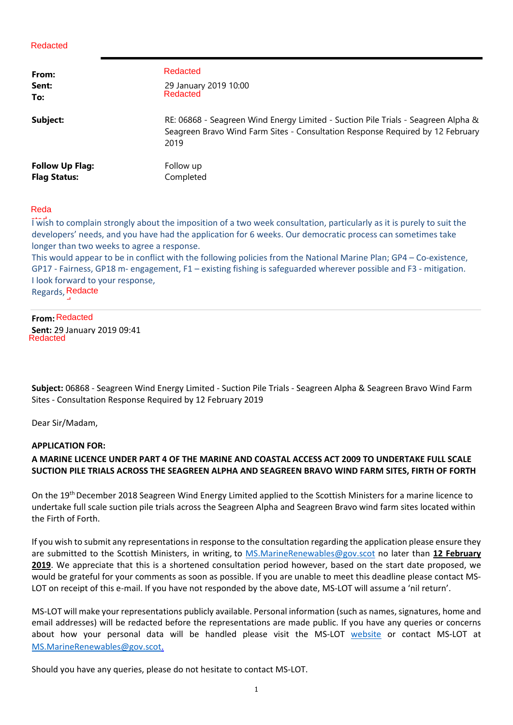| From:                  | Redacted                                                                                                                                                                    |
|------------------------|-----------------------------------------------------------------------------------------------------------------------------------------------------------------------------|
| Sent:                  | 29 January 2019 10:00                                                                                                                                                       |
| To:                    | Redacted                                                                                                                                                                    |
| Subject:               | RE: 06868 - Seagreen Wind Energy Limited - Suction Pile Trials - Seagreen Alpha &<br>Seagreen Bravo Wind Farm Sites - Consultation Response Required by 12 February<br>2019 |
| <b>Follow Up Flag:</b> | Follow up                                                                                                                                                                   |
| <b>Flag Status:</b>    | Completed                                                                                                                                                                   |

#### Reda

I wish to complain strongly about the imposition of a two week consultation, particularly as it is purely to suit the developers' needs, and you have had the application for 6 weeks. Our democratic process can sometimes take longer than two weeks to agree a response.

This would appear to be in conflict with the following policies from the National Marine Plan; GP4 – Co-existence, GP17 - Fairness, GP18 m- engagement, F1 – existing fishing is safeguarded wherever possible and F3 - mitigation. I look forward to your response,

Regards, Redacte d

#### **From:** Redacted

**Sent:** 29 January 2019 09:41 Redacted

**Subject:** 06868 ‐ Seagreen Wind Energy Limited ‐ Suction Pile Trials ‐ Seagreen Alpha & Seagreen Bravo Wind Farm Sites ‐ Consultation Response Required by 12 February 2019

Dear Sir/Madam,

#### **APPLICATION FOR:**

### **A MARINE LICENCE UNDER PART 4 OF THE MARINE AND COASTAL ACCESS ACT 2009 TO UNDERTAKE FULL SCALE SUCTION PILE TRIALS ACROSS THE SEAGREEN ALPHA AND SEAGREEN BRAVO WIND FARM SITES, FIRTH OF FORTH**

On the 19th December 2018 Seagreen Wind Energy Limited applied to the Scottish Ministers for a marine licence to undertake full scale suction pile trials across the Seagreen Alpha and Seagreen Bravo wind farm sites located within the Firth of Forth.

If you wish to submit any representations in response to the consultation regarding the application please ensure they are submitted to the Scottish Ministers, in writing, to MS.MarineRenewables@gov.scot no later than **12 February 2019**. We appreciate that this is a shortened consultation period however, based on the start date proposed, we would be grateful for your comments as soon as possible. If you are unable to meet this deadline please contact MS‐ LOT on receipt of this e-mail. If you have not responded by the above date, MS-LOT will assume a 'nil return'.

MS‐LOT will make your representations publicly available. Personal information (such as names, signatures, home and email addresses) will be redacted before the representations are made public. If you have any queries or concerns about how your personal data will be handled please visit the MS-LOT website or contact MS-LOT at MS.MarineRenewables@gov.scot.

Should you have any queries, please do not hesitate to contact MS‐LOT.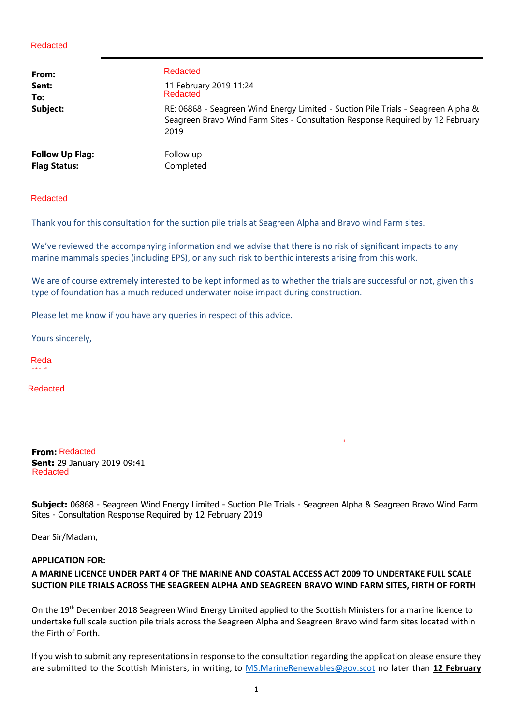| From:<br>Sent:<br>To:<br>Subject: | Redacted<br>11 February 2019 11:24<br>Redacted<br>RE: 06868 - Seagreen Wind Energy Limited - Suction Pile Trials - Seagreen Alpha &<br>Seagreen Bravo Wind Farm Sites - Consultation Response Required by 12 February |
|-----------------------------------|-----------------------------------------------------------------------------------------------------------------------------------------------------------------------------------------------------------------------|
| <b>Follow Up Flag:</b>            | 2019<br>Follow up                                                                                                                                                                                                     |
| <b>Flag Status:</b><br>Redacted   | Completed                                                                                                                                                                                                             |

Thank you for this consultation for the suction pile trials at Seagreen Alpha and Bravo wind Farm sites.

We've reviewed the accompanying information and we advise that there is no risk of significant impacts to any marine mammals species (including EPS), or any such risk to benthic interests arising from this work.

We are of course extremely interested to be kept informed as to whether the trials are successful or not, given this type of foundation has a much reduced underwater noise impact during construction.

Please let me know if you have any queries in respect of this advice.

Yours sincerely,

Reda cted

Redacted

**From:** Redacted **Sent:** 29 January 2019 09:41 Redacted

**Subject:** 06868 - Seagreen Wind Energy Limited - Suction Pile Trials - Seagreen Alpha & Seagreen Bravo Wind Farm e Sites - Consultation Response Required by 12 February 2019

R

Dear Sir/Madam,

#### **APPLICATION FOR:**

#### **A MARINE LICENCE UNDER PART 4 OF THE MARINE AND COASTAL ACCESS ACT 2009 TO UNDERTAKE FULL SCALE SUCTION PILE TRIALS ACROSS THE SEAGREEN ALPHA AND SEAGREEN BRAVO WIND FARM SITES, FIRTH OF FORTH**

On the 19<sup>th</sup> December 2018 Seagreen Wind Energy Limited applied to the Scottish Ministers for a marine licence to undertake full scale suction pile trials across the Seagreen Alpha and Seagreen Bravo wind farm sites located within the Firth of Forth.

If you wish to submit any representations in response to the consultation regarding the application please ensure they are submitted to the Scottish Ministers, in writing, to MS.MarineRenewables@gov.scot no later than **12 February**